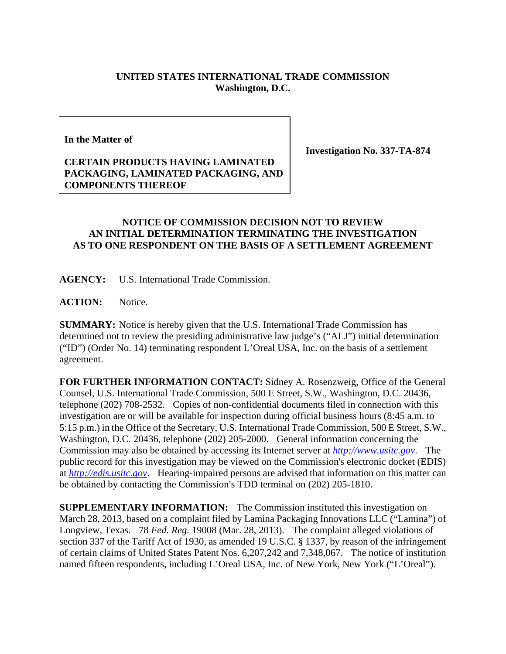## **UNITED STATES INTERNATIONAL TRADE COMMISSION Washington, D.C.**

**In the Matter of** 

## **CERTAIN PRODUCTS HAVING LAMINATED PACKAGING, LAMINATED PACKAGING, AND COMPONENTS THEREOF**

**Investigation No. 337-TA-874** 

## **NOTICE OF COMMISSION DECISION NOT TO REVIEW AN INITIAL DETERMINATION TERMINATING THE INVESTIGATION AS TO ONE RESPONDENT ON THE BASIS OF A SETTLEMENT AGREEMENT**

**AGENCY:** U.S. International Trade Commission.

**ACTION:** Notice.

**SUMMARY:** Notice is hereby given that the U.S. International Trade Commission has determined not to review the presiding administrative law judge's ("ALJ") initial determination ("ID") (Order No. 14) terminating respondent L'Oreal USA, Inc. on the basis of a settlement agreement.

**FOR FURTHER INFORMATION CONTACT:** Sidney A. Rosenzweig, Office of the General Counsel, U.S. International Trade Commission, 500 E Street, S.W., Washington, D.C. 20436, telephone (202) 708-2532. Copies of non-confidential documents filed in connection with this investigation are or will be available for inspection during official business hours (8:45 a.m. to 5:15 p.m.) in the Office of the Secretary, U.S. International Trade Commission, 500 E Street, S.W., Washington, D.C. 20436, telephone (202) 205-2000. General information concerning the Commission may also be obtained by accessing its Internet server at *http://www.usitc.gov*. The public record for this investigation may be viewed on the Commission's electronic docket (EDIS) at *http://edis.usitc.gov*. Hearing-impaired persons are advised that information on this matter can be obtained by contacting the Commission's TDD terminal on (202) 205-1810.

**SUPPLEMENTARY INFORMATION:** The Commission instituted this investigation on March 28, 2013, based on a complaint filed by Lamina Packaging Innovations LLC ("Lamina") of Longview, Texas. 78 *Fed. Reg.* 19008 (Mar. 28, 2013). The complaint alleged violations of section 337 of the Tariff Act of 1930, as amended 19 U.S.C. § 1337, by reason of the infringement of certain claims of United States Patent Nos. 6,207,242 and 7,348,067. The notice of institution named fifteen respondents, including L'Oreal USA, Inc. of New York, New York ("L'Oreal").